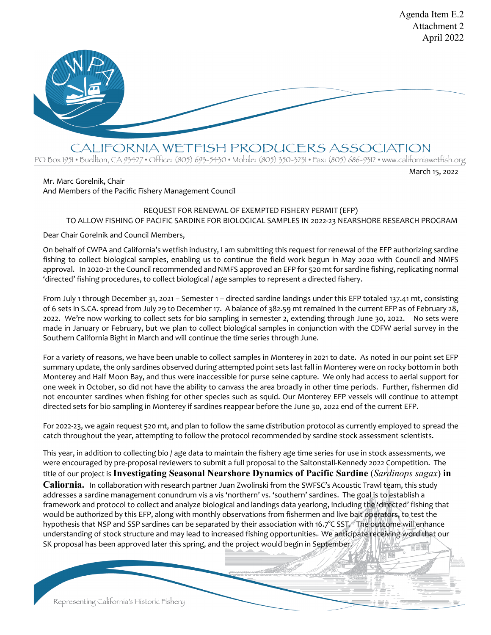

CALIFORNIA WETFISH PRODUCERS ASSOCIATION

PO Box 1951 • Buellton, CA 93427 • Office: (805) 693-5430 • Mobile: (805) 350-3231 • Fax: (805) 686-9312 • www.californiawetfish.org

## Mr. Marc Gorelnik, Chair

March 15, 2022

Agenda Item E.2

# And Members of the Pacific Fishery Management Council

## REQUEST FOR RENEWAL OF EXEMPTED FISHERY PERMIT (EFP) TO ALLOW FISHING OF PACIFIC SARDINE FOR BIOLOGICAL SAMPLES IN 2022-23 NEARSHORE RESEARCH PROGRAM

Dear Chair Gorelnik and Council Members,

On behalf of CWPA and California's wetfish industry, I am submitting this request for renewal of the EFP authorizing sardine fishing to collect biological samples, enabling us to continue the field work begun in May 2020 with Council and NMFS approval. In 2020-21 the Council recommended and NMFS approved an EFP for 520 mt for sardine fishing, replicating normal 'directed' fishing procedures, to collect biological / age samples to represent a directed fishery.

From July 1 through December 31, 2021 – Semester 1 – directed sardine landings under this EFP totaled 137.41 mt, consisting of 6 sets in S.CA. spread from July 29 to December 17. A balance of 382.59 mt remained in the current EFP as of February 28, 2022. We're now working to collect sets for bio sampling in semester 2, extending through June 30, 2022. No sets were made in January or February, but we plan to collect biological samples in conjunction with the CDFW aerial survey in the Southern California Bight in March and will continue the time series through June.

For a variety of reasons, we have been unable to collect samples in Monterey in 2021 to date. As noted in our point set EFP summary update, the only sardines observed during attempted point sets last fall in Monterey were on rocky bottom in both Monterey and Half Moon Bay, and thus were inaccessible for purse seine capture. We only had access to aerial support for one week in October, so did not have the ability to canvass the area broadly in other time periods. Further, fishermen did not encounter sardines when fishing for other species such as squid. Our Monterey EFP vessels will continue to attempt directed sets for bio sampling in Monterey if sardines reappear before the June 30, 2022 end of the current EFP.

For 2022-23, we again request 520 mt, and plan to follow the same distribution protocol as currently employed to spread the catch throughout the year, attempting to follow the protocol recommended by sardine stock assessment scientists.

This year, in addition to collecting bio / age data to maintain the fishery age time series for use in stock assessments, we were encouraged by pre-proposal reviewers to submit a full proposal to the Saltonstall-Kennedy 2022 Competition. The title of our project is **Investigating Seasonal Nearshore Dynamics of Pacific Sardine** (*Sardinops sagax*) **in Caliornia.** In collaboration with research partner Juan Zwolinski from the SWFSC's Acoustic Trawl team, this study addresses a sardine management conundrum vis a vis 'northern' vs. 'southern' sardines. The goal is to establish a framework and protocol to collect and analyze biological and landings data yearlong, including the 'directed' fishing that would be authorized by this EFP, along with monthly observations from fishermen and live bait operators, to test the hypothesis that NSP and SSP sardines can be separated by their association with 16.7°C SST. The outcome will enhance understanding of stock structure and may lead to increased fishing opportunities. We anticipate receiving word that our SK proposal has been approved later this spring, and the project would begin in September.

Representing California's Historic Fishery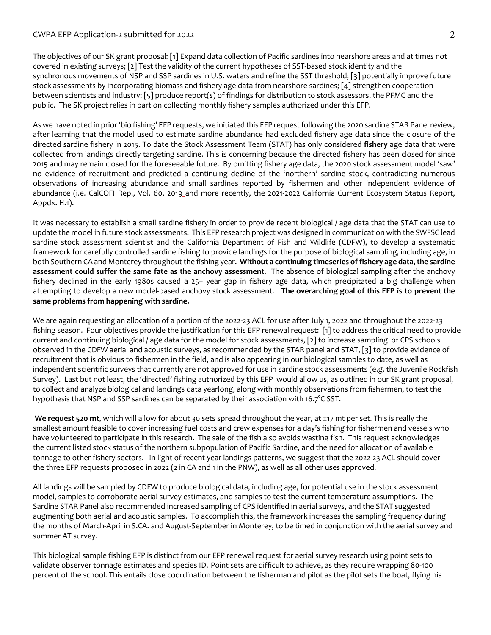## CWPA EFP Application-2 submitted for 2022 2

The objectives of our SK grant proposal: [1] Expand data collection of Pacific sardines into nearshore areas and at times not covered in existing surveys; [2] Test the validity of the current hypotheses of SST-based stock identity and the synchronous movements of NSP and SSP sardines in U.S. waters and refine the SST threshold; [3] potentially improve future stock assessments by incorporating biomass and fishery age data from nearshore sardines; [4] strengthen cooperation between scientists and industry; [5] produce report(s) of findings for distribution to stock assessors, the PFMC and the public. The SK project relies in part on collecting monthly fishery samples authorized under this EFP.

As we have noted in prior 'bio fishing' EFP requests, we initiated this EFP request following the 2020 sardine STAR Panel review, after learning that the model used to estimate sardine abundance had excluded fishery age data since the closure of the directed sardine fishery in 2015. To date the Stock Assessment Team (STAT) has only considered **fishery** age data that were collected from landings directly targeting sardine. This is concerning because the directed fishery has been closed for since 2015 and may remain closed for the foreseeable future. By omitting fishery age data, the 2020 stock assessment model 'saw' no evidence of recruitment and predicted a continuing decline of the 'northern' sardine stock, contradicting numerous observations of increasing abundance and small sardines reported by fishermen and other independent evidence of abundance (i.e. CalCOFI Rep., Vol. 60, 2019 and more recently, the 2021-2022 California Current Ecosystem Status Report, Appdx. H.1).

It was necessary to establish a small sardine fishery in order to provide recent biological / age data that the STAT can use to update the model in future stock assessments. This EFP research project was designed in communication with the SWFSC lead sardine stock assessment scientist and the California Department of Fish and Wildlife (CDFW), to develop a systematic framework for carefully controlled sardine fishing to provide landings for the purpose of biological sampling, including age, in both Southern CA and Monterey throughout the fishing year. **Without a continuing timeseries of fishery age data, the sardine assessment could suffer the same fate as the anchovy assessment.** The absence of biological sampling after the anchovy fishery declined in the early 1980s caused a 25+ year gap in fishery age data, which precipitated a big challenge when attempting to develop a new model-based anchovy stock assessment. **The overarching goal of this EFP is to prevent the same problems from happening with sardine.**

We are again requesting an allocation of a portion of the 2022-23 ACL for use after July 1, 2022 and throughout the 2022-23 fishing season. Four objectives provide the justification for this EFP renewal request: [1] to address the critical need to provide current and continuing biological / age data for the model for stock assessments, [2] to increase sampling of CPS schools observed in the CDFW aerial and acoustic surveys, as recommended by the STAR panel and STAT, [3] to provide evidence of recruitment that is obvious to fishermen in the field, and is also appearing in our biological samples to date, as well as independent scientific surveys that currently are not approved for use in sardine stock assessments (e.g. the Juvenile Rockfish Survey). Last but not least, the 'directed' fishing authorized by this EFP would allow us, as outlined in our SK grant proposal, to collect and analyze biological and landings data yearlong, along with monthly observations from fishermen, to test the hypothesis that NSP and SSP sardines can be separated by their association with 16.7°C SST.

**We request 520 mt**, which will allow for about 30 sets spread throughout the year, at ±17 mt per set. This is really the smallest amount feasible to cover increasing fuel costs and crew expenses for a day's fishing for fishermen and vessels who have volunteered to participate in this research. The sale of the fish also avoids wasting fish. This request acknowledges the current listed stock status of the northern subpopulation of Pacific Sardine, and the need for allocation of available tonnage to other fishery sectors. In light of recent year landings patterns, we suggest that the 2022-23 ACL should cover the three EFP requests proposed in 2022 (2 in CA and 1 in the PNW), as well as all other uses approved.

All landings will be sampled by CDFW to produce biological data, including age, for potential use in the stock assessment model, samples to corroborate aerial survey estimates, and samples to test the current temperature assumptions. The Sardine STAR Panel also recommended increased sampling of CPS identified in aerial surveys, and the STAT suggested augmenting both aerial and acoustic samples. To accomplish this, the framework increases the sampling frequency during the months of March-April in S.CA. and August-September in Monterey, to be timed in conjunction with the aerial survey and summer AT survey.

This biological sample fishing EFP is distinct from our EFP renewal request for aerial survey research using point sets to validate observer tonnage estimates and species ID. Point sets are difficult to achieve, as they require wrapping 80-100 percent of the school. This entails close coordination between the fisherman and pilot as the pilot sets the boat, flying his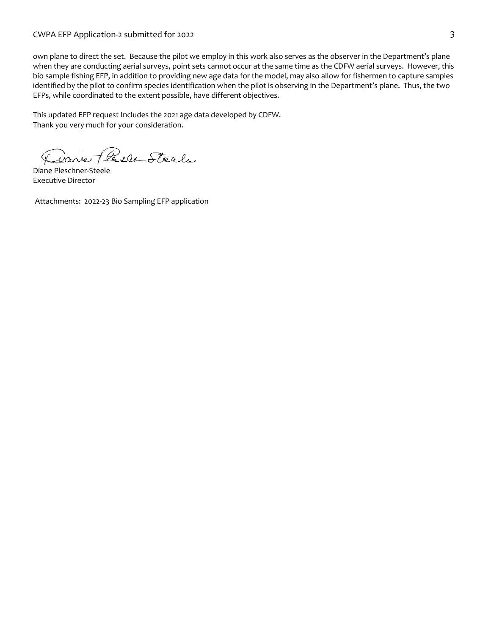## CWPA EFP Application-2 submitted for 2022 3

own plane to direct the set. Because the pilot we employ in this work also serves as the observer in the Department's plane when they are conducting aerial surveys, point sets cannot occur at the same time as the CDFW aerial surveys. However, this bio sample fishing EFP, in addition to providing new age data for the model, may also allow for fishermen to capture samples identified by the pilot to confirm species identification when the pilot is observing in the Department's plane. Thus, the two EFPs, while coordinated to the extent possible, have different objectives.

This updated EFP request Includes the 2021 age data developed by CDFW. Thank you very much for your consideration.

Danie Plesce Steel

Diane Pleschner-Steele Executive Director

Attachments: 2022-23 Bio Sampling EFP application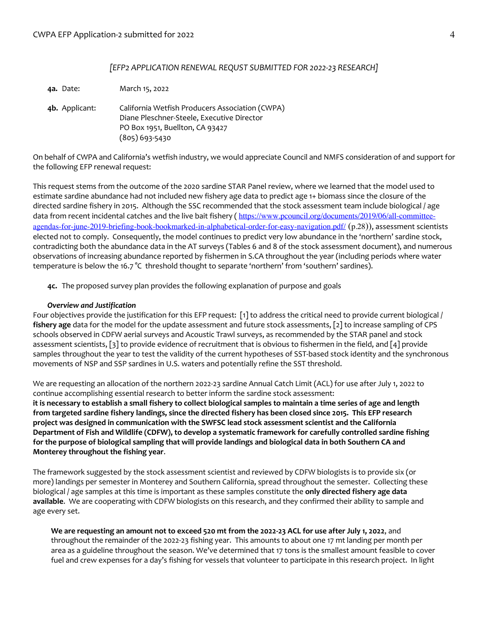## *[EFP2 APPLICATION RENEWAL REQUST SUBMITTED FOR 2022-23 RESEARCH]*

**4a.** Date: March 15, 2022

**4b.** Applicant: California Wetfish Producers Association (CWPA) Diane Pleschner-Steele, Executive Director PO Box 1951, Buellton, CA 93427 (805) 693-5430

On behalf of CWPA and California's wetfish industry, we would appreciate Council and NMFS consideration of and support for the following EFP renewal request:

This request stems from the outcome of the 2020 sardine STAR Panel review, where we learned that the model used to estimate sardine abundance had not included new fishery age data to predict age 1+ biomass since the closure of the directed sardine fishery in 2015. Although the SSC recommended that the stock assessment team include biological / age data from recent incidental catches and the live bait fishery (https://www.pcouncil.org/documents/2019/06/all-committeeagendas-for-june-2019-briefing-book-bookmarked-in-alphabetical-order-for-easy-navigation.pdf/ (p.28)), assessment scientists elected not to comply. Consequently, the model continues to predict very low abundance in the 'northern' sardine stock, contradicting both the abundance data in the AT surveys (Tables 6 and 8 of the stock assessment document), and numerous observations of increasing abundance reported by fishermen in S.CA throughout the year (including periods where water temperature is below the 16.7 °C threshold thought to separate 'northern' from 'southern' sardines).

**4c.** The proposed survey plan provides the following explanation of purpose and goals

### *Overview and Justification*

Four objectives provide the justification for this EFP request: [1] to address the critical need to provide current biological / **fishery age** data for the model for the update assessment and future stock assessments, [2] to increase sampling of CPS schools observed in CDFW aerial surveys and Acoustic Trawl surveys, as recommended by the STAR panel and stock assessment scientists, [3] to provide evidence of recruitment that is obvious to fishermen in the field, and [4] provide samples throughout the year to test the validity of the current hypotheses of SST-based stock identity and the synchronous movements of NSP and SSP sardines in U.S. waters and potentially refine the SST threshold.

We are requesting an allocation of the northern 2022-23 sardine Annual Catch Limit (ACL) for use after July 1, 2022 to continue accomplishing essential research to better inform the sardine stock assessment: **it is necessary to establish a small fishery to collect biological samples to maintain a time series of age and length from targeted sardine fishery landings, since the directed fishery has been closed since 2015. This EFP research project was designed in communication with the SWFSC lead stock assessment scientist and the California Department of Fish and Wildlife (CDFW), to develop a systematic framework for carefully controlled sardine fishing for the purpose of biological sampling that will provide landings and biological data in both Southern CA and Monterey throughout the fishing year**.

The framework suggested by the stock assessment scientist and reviewed by CDFW biologists is to provide six (or more) landings per semester in Monterey and Southern California, spread throughout the semester. Collecting these biological / age samples at this time is important as these samples constitute the **only directed fishery age data available**. We are cooperating with CDFW biologists on this research, and they confirmed their ability to sample and age every set.

**We are requesting an amount not to exceed 520 mt from the 2022-23 ACL for use after July 1, 2022**, and throughout the remainder of the 2022-23 fishing year. This amounts to about one 17 mt landing per month per area as a guideline throughout the season. We've determined that 17 tons is the smallest amount feasible to cover fuel and crew expenses for a day's fishing for vessels that volunteer to participate in this research project. In light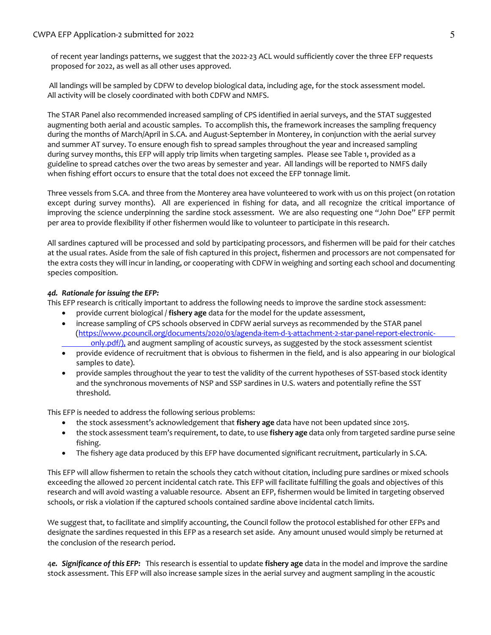## CWPA EFP Application-2 submitted for 2022 5 and 2012 12:30 FM and 2012 13:30 FM and 2013 13:30 FM and 2013 13:30 FM and 2013 13:30 FM and 2013 13:30 FM and 2013 13:30 FM and 2013 13:30 FM and 2013 13:30 FM and 2013 13:30 F

of recent year landings patterns, we suggest that the 2022-23 ACL would sufficiently cover the three EFP requests proposed for 2022, as well as all other uses approved.

All landings will be sampled by CDFW to develop biological data, including age, for the stock assessment model. All activity will be closely coordinated with both CDFW and NMFS.

The STAR Panel also recommended increased sampling of CPS identified in aerial surveys, and the STAT suggested augmenting both aerial and acoustic samples. To accomplish this, the framework increases the sampling frequency during the months of March/April in S.CA. and August-September in Monterey, in conjunction with the aerial survey and summer AT survey. To ensure enough fish to spread samples throughout the year and increased sampling during survey months, this EFP will apply trip limits when targeting samples. Please see Table 1, provided as a guideline to spread catches over the two areas by semester and year. All landings will be reported to NMFS daily when fishing effort occurs to ensure that the total does not exceed the EFP tonnage limit.

Three vessels from S.CA. and three from the Monterey area have volunteered to work with us on this project (on rotation except during survey months). All are experienced in fishing for data, and all recognize the critical importance of improving the science underpinning the sardine stock assessment. We are also requesting one "John Doe" EFP permit per area to provide flexibility if other fishermen would like to volunteer to participate in this research.

All sardines captured will be processed and sold by participating processors, and fishermen will be paid for their catches at the usual rates. Aside from the sale of fish captured in this project, fishermen and processors are not compensated for the extra costs they will incur in landing, or cooperating with CDFW in weighing and sorting each school and documenting species composition.

## *4d. Rationale for issuing the EFP:*

This EFP research is critically important to address the following needs to improve the sardine stock assessment:

- provide current biological / **fishery age** data for the model for the update assessment,
- increase sampling of CPS schools observed in CDFW aerial surveys as recommended by the STAR panel (https://www.pcouncil.org/documents/2020/03/agenda-item-d-3-attachment-2-star-panel-report-electroniconly.pdf/), and augment sampling of acoustic surveys, as suggested by the stock assessment scientist
- provide evidence of recruitment that is obvious to fishermen in the field, and is also appearing in our biological samples to date).
- provide samples throughout the year to test the validity of the current hypotheses of SST-based stock identity and the synchronous movements of NSP and SSP sardines in U.S. waters and potentially refine the SST threshold.

This EFP is needed to address the following serious problems:

- the stock assessment's acknowledgement that **fishery age** data have not been updated since 2015.
- the stock assessment team's requirement, to date, to use **fishery age** data only from targeted sardine purse seine fishing.
- The fishery age data produced by this EFP have documented significant recruitment, particularly in S.CA.

This EFP will allow fishermen to retain the schools they catch without citation, including pure sardines or mixed schools exceeding the allowed 20 percent incidental catch rate. This EFP will facilitate fulfilling the goals and objectives of this research and will avoid wasting a valuable resource. Absent an EFP, fishermen would be limited in targeting observed schools, or risk a violation if the captured schools contained sardine above incidental catch limits.

We suggest that, to facilitate and simplify accounting, the Council follow the protocol established for other EFPs and designate the sardines requested in this EFP as a research set aside. Any amount unused would simply be returned at the conclusion of the research period.

4*e. Significance of this EFP:* This research is essential to update **fishery age** data in the model and improve the sardine stock assessment. This EFP will also increase sample sizes in the aerial survey and augment sampling in the acoustic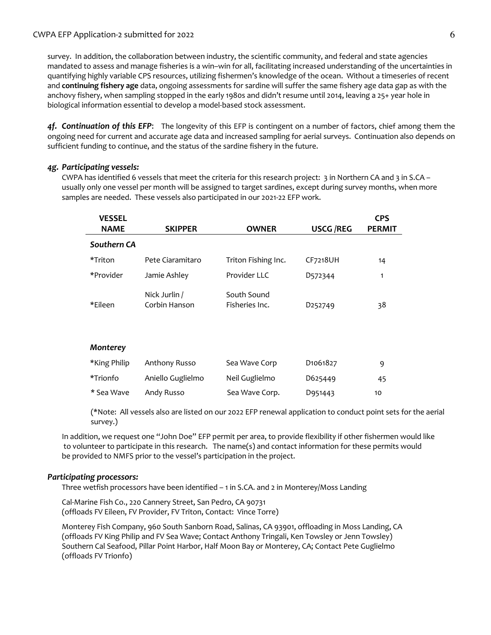## CWPA EFP Application-2 submitted for 2022 6 and the state of the state of the state of the state of the state of the state of the state of the state of the state of the state of the state of the state of the state of the s

survey. In addition, the collaboration between industry, the scientific community, and federal and state agencies mandated to assess and manage fisheries is a win–win for all, facilitating increased understanding of the uncertainties in quantifying highly variable CPS resources, utilizing fishermen's knowledge of the ocean. Without a timeseries of recent and **continuing fishery age** data, ongoing assessments for sardine will suffer the same fishery age data gap as with the anchovy fishery, when sampling stopped in the early 1980s and didn't resume until 2014, leaving a 25+ year hole in biological information essential to develop a model-based stock assessment.

*4f. Continuation of this EFP*: The longevity of this EFP is contingent on a number of factors, chief among them the ongoing need for current and accurate age data and increased sampling for aerial surveys. Continuation also depends on sufficient funding to continue, and the status of the sardine fishery in the future.

## *4g. Participating vessels:*

CWPA has identified 6 vessels that meet the criteria for this research project: 3 in Northern CA and 3 in S.CA – usually only one vessel per month will be assigned to target sardines, except during survey months, when more samples are needed. These vessels also participated in our 2021-22 EFP work.

| <b>VESSEL</b> |                                |                               |                                   | <b>CPS</b>    |
|---------------|--------------------------------|-------------------------------|-----------------------------------|---------------|
| <b>NAME</b>   | <b>SKIPPER</b>                 | <b>OWNER</b>                  | <b>USCG/REG</b>                   | <b>PERMIT</b> |
| Southern CA   |                                |                               |                                   |               |
| *Triton       | Pete Ciaramitaro               | Triton Fishing Inc.           | CF7218UH                          | 14            |
| *Provider     | Jamie Ashley                   | Provider LLC                  | D572344                           | 1             |
| *Eileen       | Nick Jurlin /<br>Corbin Hanson | South Sound<br>Fisheries Inc. | D <sub>252749</sub>               | 38            |
| Monterey      |                                |                               |                                   |               |
| *King Philip  | Anthony Russo                  | Sea Wave Corp                 | D <sub>1061</sub> 8 <sub>27</sub> | 9             |
| *Trionfo      | Aniello Guglielmo              | Neil Guglielmo                | D625449                           | 45            |
| * Sea Wave    | Andy Russo                     | Sea Wave Corp.                | D951443                           | 10            |

(\*Note: All vessels also are listed on our 2022 EFP renewal application to conduct point sets for the aerial survey.)

In addition, we request one "John Doe" EFP permit per area, to provide flexibility if other fishermen would like to volunteer to participate in this research. The name(s) and contact information for these permits would be provided to NMFS prior to the vessel's participation in the project.

#### *Participating processors:*

Three wetfish processors have been identified – 1 in S.CA. and 2 in Monterey/Moss Landing

Cal-Marine Fish Co., 220 Cannery Street, San Pedro, CA 90731 (offloads FV Eileen, FV Provider, FV Triton, Contact: Vince Torre)

Monterey Fish Company, 960 South Sanborn Road, Salinas, CA 93901, offloading in Moss Landing, CA (offloads FV King Philip and FV Sea Wave; Contact Anthony Tringali, Ken Towsley or Jenn Towsley) Southern Cal Seafood, Pillar Point Harbor, Half Moon Bay or Monterey, CA; Contact Pete Guglielmo (offloads FV Trionfo)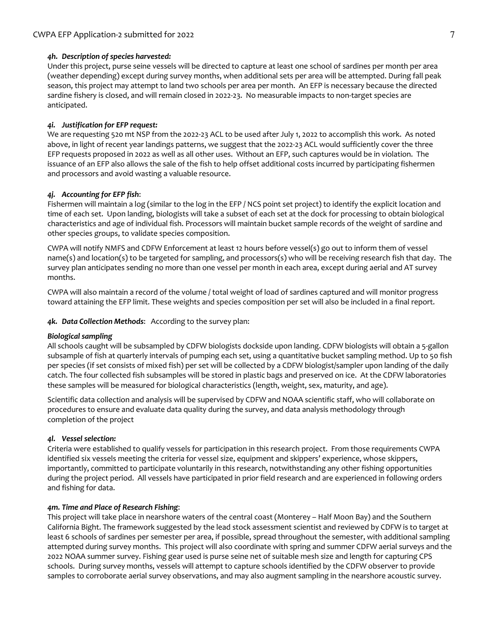## *4h. Description of species harvested:*

Under this project, purse seine vessels will be directed to capture at least one school of sardines per month per area (weather depending) except during survey months, when additional sets per area will be attempted. During fall peak season, this project may attempt to land two schools per area per month. An EFP is necessary because the directed sardine fishery is closed, and will remain closed in 2022-23. No measurable impacts to non-target species are anticipated.

## *4i. Justification for EFP request:*

We are requesting 520 mt NSP from the 2022-23 ACL to be used after July 1, 2022 to accomplish this work. As noted above, in light of recent year landings patterns, we suggest that the 2022-23 ACL would sufficiently cover the three EFP requests proposed in 2022 as well as all other uses. Without an EFP, such captures would be in violation. The issuance of an EFP also allows the sale of the fish to help offset additional costs incurred by participating fishermen and processors and avoid wasting a valuable resource.

## *4j. Accounting for EFP fish*:

Fishermen will maintain a log (similar to the log in the EFP / NCS point set project) to identify the explicit location and time of each set. Upon landing, biologists will take a subset of each set at the dock for processing to obtain biological characteristics and age of individual fish. Processors will maintain bucket sample records of the weight of sardine and other species groups, to validate species composition.

CWPA will notify NMFS and CDFW Enforcement at least 12 hours before vessel(s) go out to inform them of vessel name(s) and location(s) to be targeted for sampling, and processors(s) who will be receiving research fish that day. The survey plan anticipates sending no more than one vessel per month in each area, except during aerial and AT survey months.

CWPA will also maintain a record of the volume / total weight of load of sardines captured and will monitor progress toward attaining the EFP limit. These weights and species composition per set will also be included in a final report.

*4k. Data Collection Methods*: According to the survey plan:

## *Biological sampling*

All schools caught will be subsampled by CDFW biologists dockside upon landing. CDFW biologists will obtain a 5-gallon subsample of fish at quarterly intervals of pumping each set, using a quantitative bucket sampling method. Up to 50 fish per species (if set consists of mixed fish) per set will be collected by a CDFW biologist/sampler upon landing of the daily catch. The four collected fish subsamples will be stored in plastic bags and preserved on ice. At the CDFW laboratories these samples will be measured for biological characteristics (length, weight, sex, maturity, and age).

Scientific data collection and analysis will be supervised by CDFW and NOAA scientific staff, who will collaborate on procedures to ensure and evaluate data quality during the survey, and data analysis methodology through completion of the project

## *4l. Vessel selection:*

Criteria were established to qualify vessels for participation in this research project. From those requirements CWPA identified six vessels meeting the criteria for vessel size, equipment and skippers' experience, whose skippers, importantly, committed to participate voluntarily in this research, notwithstanding any other fishing opportunities during the project period. All vessels have participated in prior field research and are experienced in following orders and fishing for data.

## *4m. Time and Place of Research Fishing*:

This project will take place in nearshore waters of the central coast (Monterey – Half Moon Bay) and the Southern California Bight. The framework suggested by the lead stock assessment scientist and reviewed by CDFW is to target at least 6 schools of sardines per semester per area, if possible, spread throughout the semester, with additional sampling attempted during survey months. This project will also coordinate with spring and summer CDFW aerial surveys and the 2022 NOAA summer survey. Fishing gear used is purse seine net of suitable mesh size and length for capturing CPS schools. During survey months, vessels will attempt to capture schools identified by the CDFW observer to provide samples to corroborate aerial survey observations, and may also augment sampling in the nearshore acoustic survey.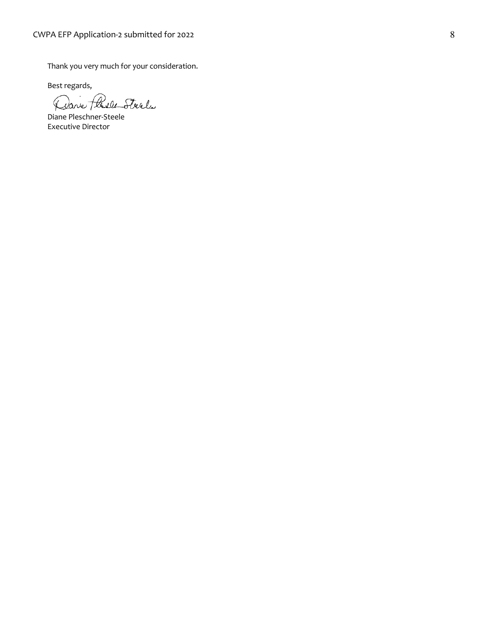Thank you very much for your consideration.

Best regards,

Dave Plasle Steel

Diane Pleschner-Steele Executive Director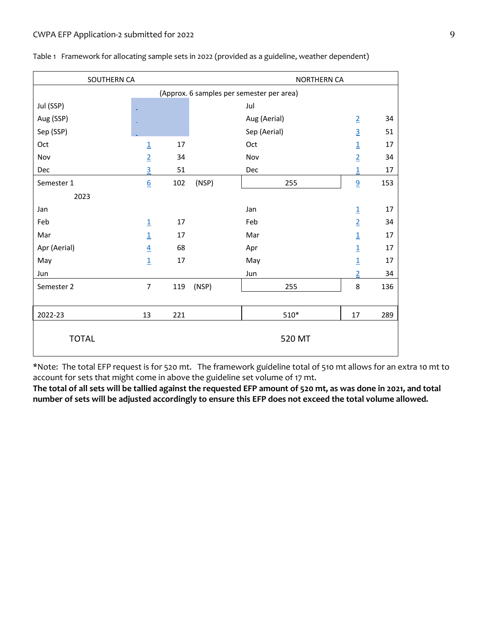| SOUTHERN CA                               |                 |     | NORTHERN CA |              |                |     |
|-------------------------------------------|-----------------|-----|-------------|--------------|----------------|-----|
| (Approx. 6 samples per semester per area) |                 |     |             |              |                |     |
| Jul (SSP)                                 |                 |     |             | Jul          |                |     |
| Aug (SSP)                                 |                 |     |             | Aug (Aerial) | $\overline{2}$ | 34  |
| Sep (SSP)                                 |                 |     |             | Sep (Aerial) | $\overline{3}$ | 51  |
| Oct                                       | $\overline{1}$  | 17  |             | Oct          | $\overline{1}$ | 17  |
| Nov                                       | $\overline{2}$  | 34  |             | Nov          | $\overline{2}$ | 34  |
| Dec                                       | 3               | 51  |             | Dec          | $\mathbf{1}$   | 17  |
| Semester 1                                | $\underline{6}$ | 102 | (NSP)       | 255          | 9              | 153 |
| 2023                                      |                 |     |             |              |                |     |
| Jan                                       |                 |     |             | Jan          | $\overline{1}$ | 17  |
| Feb                                       | $\overline{1}$  | 17  |             | Feb          | $\overline{2}$ | 34  |
| Mar                                       | $\overline{1}$  | 17  |             | Mar          | $\overline{1}$ | 17  |
| Apr (Aerial)                              | $\overline{4}$  | 68  |             | Apr          | $\overline{1}$ | 17  |
| May                                       | $\overline{1}$  | 17  |             | May          | $\overline{1}$ | 17  |
| Jun                                       |                 |     |             | Jun          | $\overline{2}$ | 34  |
| Semester 2                                | $\overline{7}$  | 119 | (NSP)       | 255          | 8              | 136 |
|                                           |                 |     |             |              |                |     |
| 2022-23                                   | 13              | 221 |             | $510*$       | 17             | 289 |
| <b>TOTAL</b>                              |                 |     |             | 520 MT       |                |     |

Table 1 Framework for allocating sample sets in 2022 (provided as a guideline, weather dependent)

\*Note: The total EFP request is for 520 mt. The framework guideline total of 510 mt allows for an extra 10 mt to account for sets that might come in above the guideline set volume of 17 mt.

**The total of all sets will be tallied against the requested EFP amount of 520 mt, as was done in 2021, and total number of sets will be adjusted accordingly to ensure this EFP does not exceed the total volume allowed.**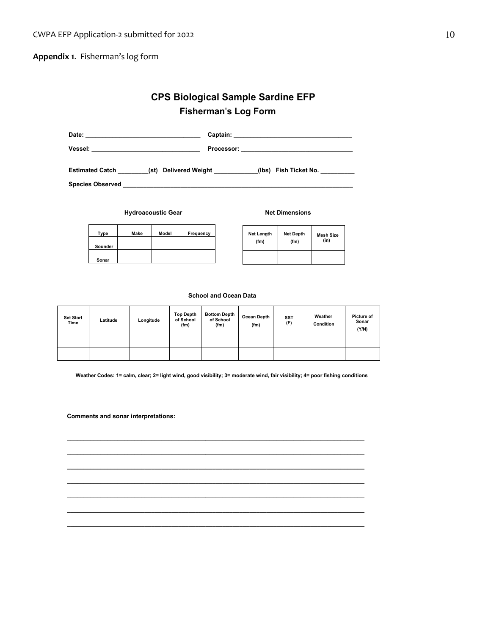**Appendix 1**. Fisherman's log form

## **CPS Biological Sample Sardine EFP Fisherman's Log Form**

| Date:                                           |                                              |
|-------------------------------------------------|----------------------------------------------|
| Vessel:                                         | Processor: _________________________________ |
| <b>Estimated Catch</b><br>(st) Delivered Weight | (Ibs) Fish Ticket No.                        |
| <b>Species Observed</b>                         |                                              |

**Hydroacoustic Gear Net Dimensions** 

| Type    | Make | Model | Frequency |
|---------|------|-------|-----------|
| Sounder |      |       |           |
| Sonar   |      |       |           |

| <b>Net Length</b> | <b>Net Depth</b> | <b>Mesh Size</b> |
|-------------------|------------------|------------------|
| (fm)              | (fm)             | (in)             |
|                   |                  |                  |

#### **School and Ocean Data**

| <b>Set Start</b><br>Time | Latitude | Longitude | <b>Top Depth</b><br>of School<br>(fm) | <b>Bottom Depth</b><br>of School<br>(fm) | Ocean Depth<br>(fm) | <b>SST</b><br>(F) | Weather<br>Condition | <b>Picture of</b><br>Sonar<br>(Y/N) |
|--------------------------|----------|-----------|---------------------------------------|------------------------------------------|---------------------|-------------------|----------------------|-------------------------------------|
|                          |          |           |                                       |                                          |                     |                   |                      |                                     |
|                          |          |           |                                       |                                          |                     |                   |                      |                                     |

**Weather Codes: 1= calm, clear; 2= light wind, good visibility; 3= moderate wind, fair visibility; 4= poor fishing conditions**

**\_\_\_\_\_\_\_\_\_\_\_\_\_\_\_\_\_\_\_\_\_\_\_\_\_\_\_\_\_\_\_\_\_\_\_\_\_\_\_\_\_\_\_\_\_\_\_\_\_\_\_\_\_\_\_\_\_\_\_\_\_\_\_\_\_\_\_\_\_\_\_\_\_\_\_\_\_\_\_\_\_\_\_\_\_\_\_\_ \_\_\_\_\_\_\_\_\_\_\_\_\_\_\_\_\_\_\_\_\_\_\_\_\_\_\_\_\_\_\_\_\_\_\_\_\_\_\_\_\_\_\_\_\_\_\_\_\_\_\_\_\_\_\_\_\_\_\_\_\_\_\_\_\_\_\_\_\_\_\_\_\_\_\_\_\_\_\_\_\_\_\_\_\_\_\_\_ \_\_\_\_\_\_\_\_\_\_\_\_\_\_\_\_\_\_\_\_\_\_\_\_\_\_\_\_\_\_\_\_\_\_\_\_\_\_\_\_\_\_\_\_\_\_\_\_\_\_\_\_\_\_\_\_\_\_\_\_\_\_\_\_\_\_\_\_\_\_\_\_\_\_\_\_\_\_\_\_\_\_\_\_\_\_\_\_ \_\_\_\_\_\_\_\_\_\_\_\_\_\_\_\_\_\_\_\_\_\_\_\_\_\_\_\_\_\_\_\_\_\_\_\_\_\_\_\_\_\_\_\_\_\_\_\_\_\_\_\_\_\_\_\_\_\_\_\_\_\_\_\_\_\_\_\_\_\_\_\_\_\_\_\_\_\_\_\_\_\_\_\_\_\_\_\_ \_\_\_\_\_\_\_\_\_\_\_\_\_\_\_\_\_\_\_\_\_\_\_\_\_\_\_\_\_\_\_\_\_\_\_\_\_\_\_\_\_\_\_\_\_\_\_\_\_\_\_\_\_\_\_\_\_\_\_\_\_\_\_\_\_\_\_\_\_\_\_\_\_\_\_\_\_\_\_\_\_\_\_\_\_\_\_\_ \_\_\_\_\_\_\_\_\_\_\_\_\_\_\_\_\_\_\_\_\_\_\_\_\_\_\_\_\_\_\_\_\_\_\_\_\_\_\_\_\_\_\_\_\_\_\_\_\_\_\_\_\_\_\_\_\_\_\_\_\_\_\_\_\_\_\_\_\_\_\_\_\_\_\_\_\_\_\_\_\_\_\_\_\_\_\_\_ \_\_\_\_\_\_\_\_\_\_\_\_\_\_\_\_\_\_\_\_\_\_\_\_\_\_\_\_\_\_\_\_\_\_\_\_\_\_\_\_\_\_\_\_\_\_\_\_\_\_\_\_\_\_\_\_\_\_\_\_\_\_\_\_\_\_\_\_\_\_\_\_\_\_\_\_\_\_\_\_\_\_\_\_\_\_\_\_**

**Comments and sonar interpretations:**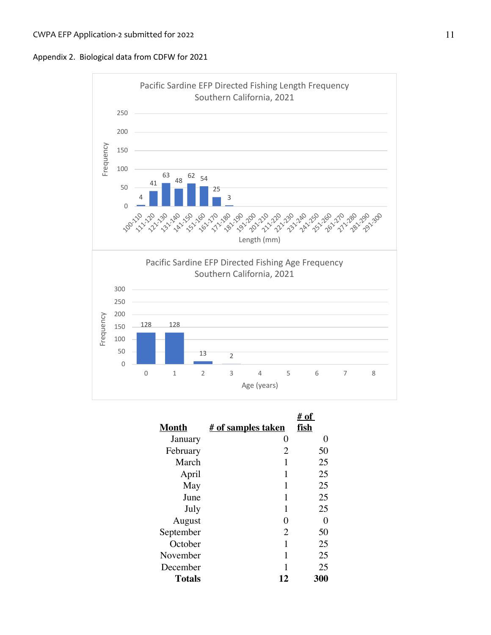



|              |                           | # of        |
|--------------|---------------------------|-------------|
| <b>Month</b> | <u># of samples taken</u> | <u>fish</u> |
| January      | 0                         | 0           |
| February     | 2                         | 50          |
| March        | 1                         | 25          |
| April        | 1                         | 25          |
| May          | 1                         | 25          |
| June         | 1                         | 25          |
| July         | 1                         | 25          |
| August       | 0                         | 0           |
| September    | 2                         | 50          |
| October      | 1                         | 25          |
| November     | 1                         | 25          |
| December     | 1                         | 25          |
| Totals       | 12                        | 300         |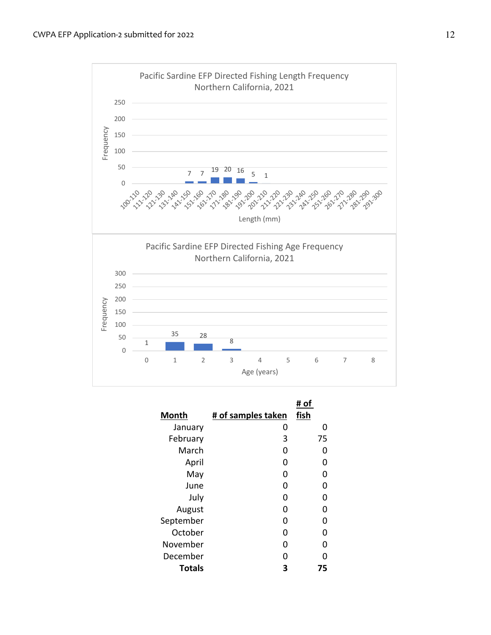

|               |                    | # of |
|---------------|--------------------|------|
| Month         | # of samples taken | fish |
| January       | O                  | 0    |
| February      | 3                  | 75   |
| March         | ი                  | O    |
| April         | O                  | O    |
| May           | O                  | וו   |
| June          | O                  | 0    |
| July          | O                  | 0    |
| August        | O                  | 0    |
| September     | O                  | O    |
| October       | ŋ                  | 0    |
| November      | ŋ                  | n    |
| December      | n                  | n    |
| <b>Totals</b> | 3                  | 75   |